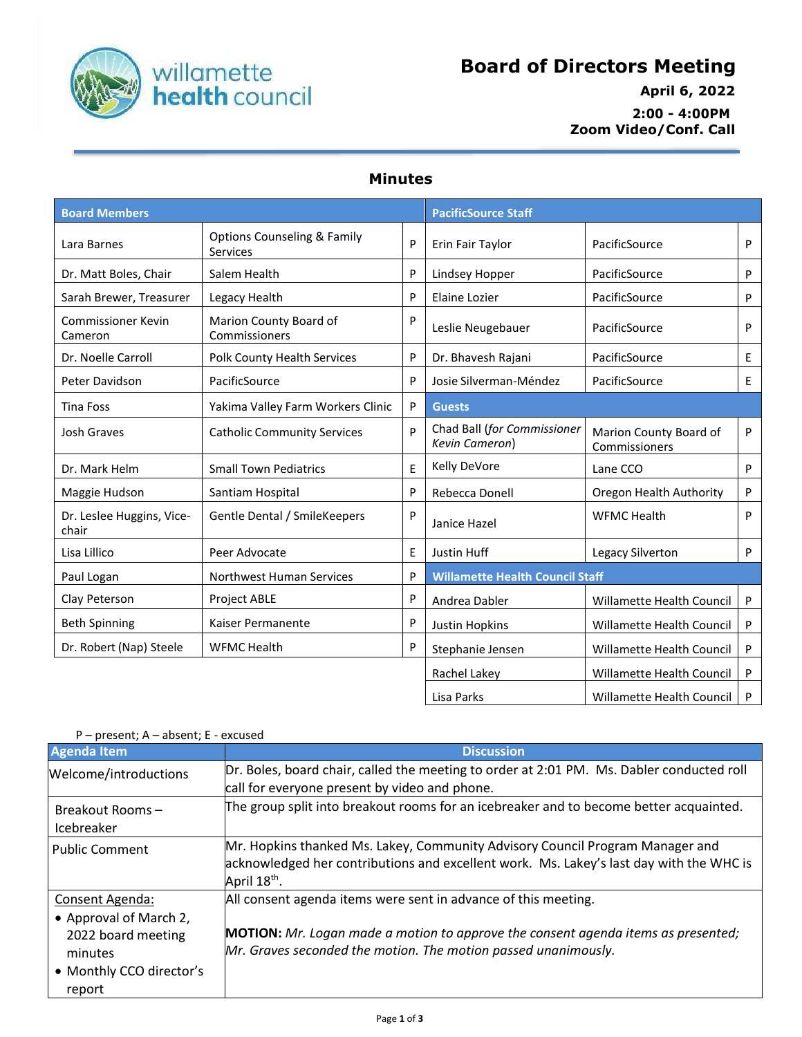

## **Board of Directors Meeting**

 **April 6, 2022 2:00 - 4:00PM Zoom Video/Conf. Call**

## **Minutes**

| <b>Board Members</b>                 |                                                    |   | <b>PacificSource Staff</b>                    |                                         |    |
|--------------------------------------|----------------------------------------------------|---|-----------------------------------------------|-----------------------------------------|----|
| Lara Barnes                          | <b>Options Counseling &amp; Family</b><br>Services | P | Erin Fair Taylor                              | PacificSource                           | P  |
| Dr. Matt Boles, Chair                | Salem Health                                       | P | Lindsey Hopper                                | PacificSource                           | P  |
| Sarah Brewer, Treasurer              | Legacy Health                                      | P | Elaine Lozier                                 | PacificSource                           | P  |
| <b>Commissioner Kevin</b><br>Cameron | Marion County Board of<br>Commissioners            | P | Leslie Neugebauer                             | PacificSource                           | P  |
| Dr. Noelle Carroll                   | Polk County Health Services                        | P | Dr. Bhavesh Rajani                            | PacificSource                           | E. |
| Peter Davidson                       | PacificSource                                      | P | Josie Silverman-Méndez                        | PacificSource                           | E. |
| Tina Foss                            | Yakima Valley Farm Workers Clinic                  | P | <b>Guests</b>                                 |                                         |    |
| <b>Josh Graves</b>                   | <b>Catholic Community Services</b>                 | P | Chad Ball (for Commissioner<br>Kevin Cameron) | Marion County Board of<br>Commissioners | P  |
| Dr. Mark Helm                        | <b>Small Town Pediatrics</b>                       | E | Kelly DeVore                                  | Lane CCO                                | P  |
| Maggie Hudson                        | Santiam Hospital                                   | P | Rebecca Donell                                | Oregon Health Authority                 | P  |
| Dr. Leslee Huggins, Vice-<br>chair   | Gentle Dental / SmileKeepers                       | P | Janice Hazel                                  | <b>WFMC Health</b>                      | P  |
| Lisa Lillico                         | Peer Advocate                                      | E | Justin Huff                                   | Legacy Silverton                        | P  |
| Paul Logan                           | Northwest Human Services                           | P | <b>Willamette Health Council Staff</b>        |                                         |    |
| Clay Peterson                        | <b>Project ABLE</b>                                | P | Andrea Dabler                                 | Willamette Health Council               | P  |
| <b>Beth Spinning</b>                 | Kaiser Permanente                                  | P | Justin Hopkins                                | Willamette Health Council               | P  |
| Dr. Robert (Nap) Steele              | <b>WFMC Health</b>                                 | P | Stephanie Jensen                              | Willamette Health Council               | P  |
|                                      |                                                    |   | Rachel Lakey                                  | Willamette Health Council               | P  |
|                                      |                                                    |   | Lisa Parks                                    | <b>Willamette Health Council</b>        | P  |

## **Agenda** Item **Discussion** Welcome/introductions **Dr. Boles, board chair, called the meeting to order at 2:01 PM.** Ms. Dabler conducted roll call for everyone present by video and phone.

P – present; A – absent; E - excused

| Breakout Rooms-<br><b>Icebreaker</b>      | The group split into breakout rooms for an icebreaker and to become better acquainted.                                                                                                               |
|-------------------------------------------|------------------------------------------------------------------------------------------------------------------------------------------------------------------------------------------------------|
| <b>Public Comment</b>                     | Mr. Hopkins thanked Ms. Lakey, Community Advisory Council Program Manager and<br>acknowledged her contributions and excellent work. Ms. Lakey's last day with the WHC is<br>April 18 <sup>th</sup> . |
| Consent Agenda:<br>• Approval of March 2, | All consent agenda items were sent in advance of this meeting.                                                                                                                                       |
| 2022 board meeting<br>minutes             | <b>MOTION:</b> Mr. Logan made a motion to approve the consent agenda items as presented;<br>Mr. Graves seconded the motion. The motion passed unanimously.                                           |
| • Monthly CCO director's<br>report        |                                                                                                                                                                                                      |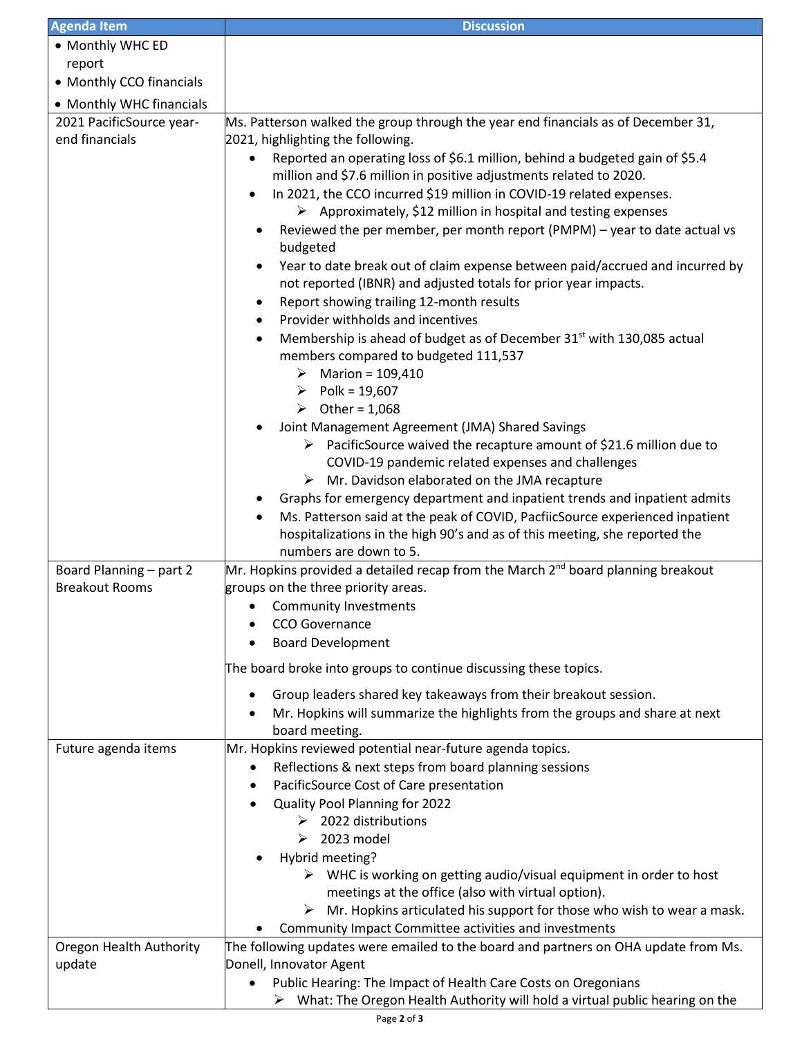| <b>Agenda Item</b>                | <b>Discussion</b>                                                                                                                                                                                 |  |
|-----------------------------------|---------------------------------------------------------------------------------------------------------------------------------------------------------------------------------------------------|--|
| • Monthly WHC ED                  |                                                                                                                                                                                                   |  |
| report                            |                                                                                                                                                                                                   |  |
| • Monthly CCO financials          |                                                                                                                                                                                                   |  |
| • Monthly WHC financials          |                                                                                                                                                                                                   |  |
| 2021 PacificSource year-          | Ms. Patterson walked the group through the year end financials as of December 31,                                                                                                                 |  |
| end financials                    | 2021, highlighting the following.<br>Reported an operating loss of \$6.1 million, behind a budgeted gain of \$5.4<br>$\bullet$                                                                    |  |
|                                   | million and \$7.6 million in positive adjustments related to 2020.                                                                                                                                |  |
|                                   | In 2021, the CCO incurred \$19 million in COVID-19 related expenses.<br>$\triangleright$ Approximately, \$12 million in hospital and testing expenses                                             |  |
|                                   | Reviewed the per member, per month report (PMPM) - year to date actual vs<br>budgeted                                                                                                             |  |
|                                   | Year to date break out of claim expense between paid/accrued and incurred by<br>not reported (IBNR) and adjusted totals for prior year impacts.                                                   |  |
|                                   | Report showing trailing 12-month results<br>$\bullet$<br>Provider withholds and incentives                                                                                                        |  |
|                                   | $\bullet$<br>Membership is ahead of budget as of December 31 <sup>st</sup> with 130,085 actual<br>$\bullet$                                                                                       |  |
|                                   | members compared to budgeted 111,537<br>$\triangleright$ Marion = 109,410                                                                                                                         |  |
|                                   | ▶ Polk = 19,607                                                                                                                                                                                   |  |
|                                   | $\triangleright$ Other = 1,068                                                                                                                                                                    |  |
|                                   | Joint Management Agreement (JMA) Shared Savings                                                                                                                                                   |  |
|                                   | $\triangleright$ PacificSource waived the recapture amount of \$21.6 million due to                                                                                                               |  |
|                                   | COVID-19 pandemic related expenses and challenges                                                                                                                                                 |  |
|                                   | $\triangleright$ Mr. Davidson elaborated on the JMA recapture                                                                                                                                     |  |
|                                   | Graphs for emergency department and inpatient trends and inpatient admits                                                                                                                         |  |
|                                   | Ms. Patterson said at the peak of COVID, PacfiicSource experienced inpatient<br>$\bullet$<br>hospitalizations in the high 90's and as of this meeting, she reported the<br>numbers are down to 5. |  |
| Board Planning - part 2           | Mr. Hopkins provided a detailed recap from the March 2 <sup>nd</sup> board planning breakout                                                                                                      |  |
| <b>Breakout Rooms</b>             | groups on the three priority areas.                                                                                                                                                               |  |
|                                   | Community Investments                                                                                                                                                                             |  |
|                                   | CCO Governance                                                                                                                                                                                    |  |
|                                   | <b>Board Development</b>                                                                                                                                                                          |  |
|                                   | The board broke into groups to continue discussing these topics.                                                                                                                                  |  |
|                                   | Group leaders shared key takeaways from their breakout session.<br>٠                                                                                                                              |  |
|                                   | Mr. Hopkins will summarize the highlights from the groups and share at next<br>board meeting.                                                                                                     |  |
| Future agenda items               | Mr. Hopkins reviewed potential near-future agenda topics.                                                                                                                                         |  |
|                                   | Reflections & next steps from board planning sessions<br>٠                                                                                                                                        |  |
|                                   | PacificSource Cost of Care presentation<br>٠                                                                                                                                                      |  |
|                                   | Quality Pool Planning for 2022<br>٠                                                                                                                                                               |  |
|                                   | $\triangleright$ 2022 distributions                                                                                                                                                               |  |
|                                   | $\geq 2023 \text{ model}$                                                                                                                                                                         |  |
|                                   | Hybrid meeting?                                                                                                                                                                                   |  |
|                                   | $\triangleright$ WHC is working on getting audio/visual equipment in order to host<br>meetings at the office (also with virtual option).                                                          |  |
|                                   | $\triangleright$ Mr. Hopkins articulated his support for those who wish to wear a mask.                                                                                                           |  |
|                                   | Community Impact Committee activities and investments                                                                                                                                             |  |
| Oregon Health Authority<br>update | The following updates were emailed to the board and partners on OHA update from Ms.<br>Donell, Innovator Agent                                                                                    |  |
|                                   | Public Hearing: The Impact of Health Care Costs on Oregonians                                                                                                                                     |  |
|                                   | What: The Oregon Health Authority will hold a virtual public hearing on the<br>➤                                                                                                                  |  |